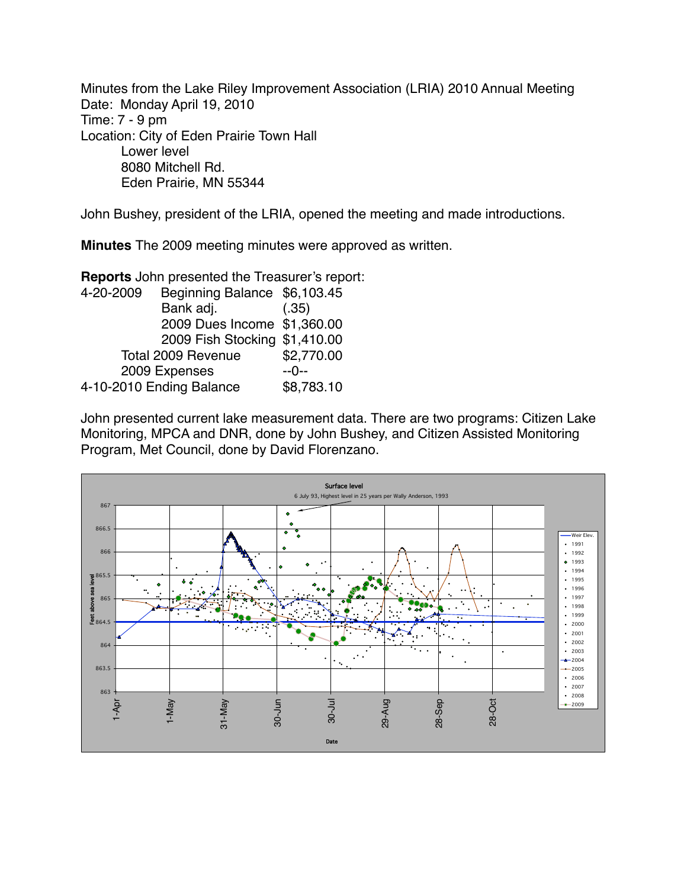Minutes from the Lake Riley Improvement Association (LRIA) 2010 Annual Meeting Date: Monday April 19, 2010 Time: 7 - 9 pm Location: City of Eden Prairie Town Hall Lower level 8080 Mitchell Rd. Eden Prairie, MN 55344

John Bushey, president of the LRIA, opened the meeting and made introductions.

**Minutes** The 2009 meeting minutes were approved as written.

**Reports** John presented the Treasurer's report:

| 4-20-2009                | Beginning Balance \$6,103.45  |            |
|--------------------------|-------------------------------|------------|
|                          | Bank adj.                     | (.35)      |
|                          | 2009 Dues Income \$1,360.00   |            |
|                          | 2009 Fish Stocking \$1,410.00 |            |
| Total 2009 Revenue       |                               | \$2,770.00 |
| 2009 Expenses            | --0--                         |            |
| 4-10-2010 Ending Balance | \$8,783.10                    |            |
|                          |                               |            |

John presented current lake measurement data. There are two programs: Citizen Lake Monitoring, MPCA and DNR, done by John Bushey, and Citizen Assisted Monitoring Program, Met Council, done by David Florenzano.

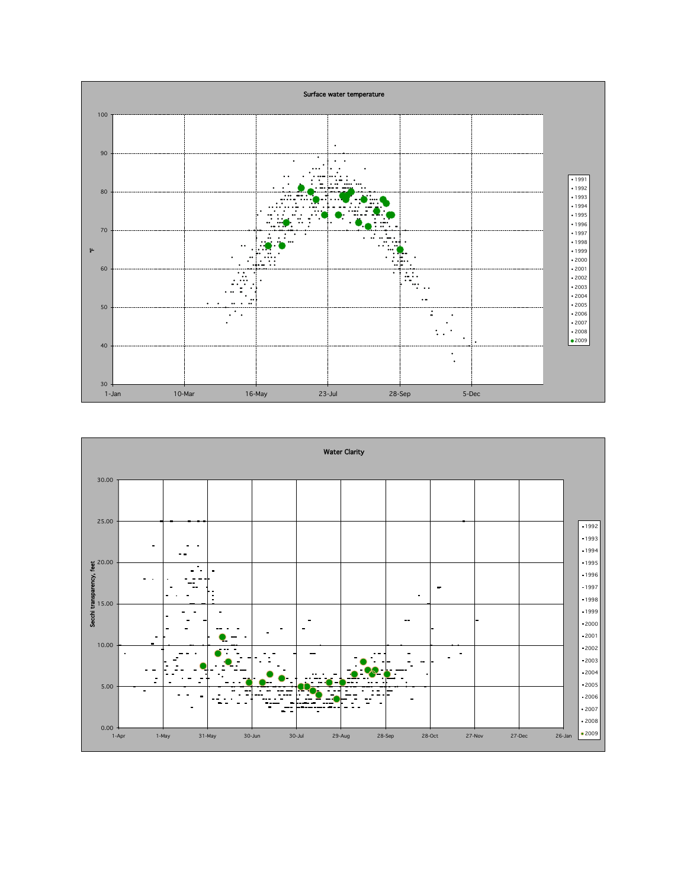

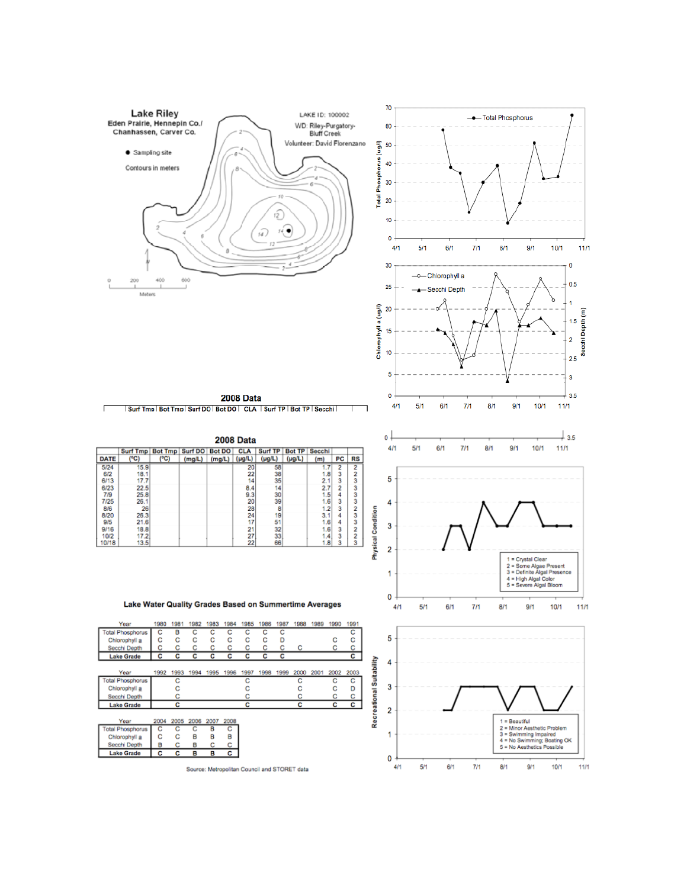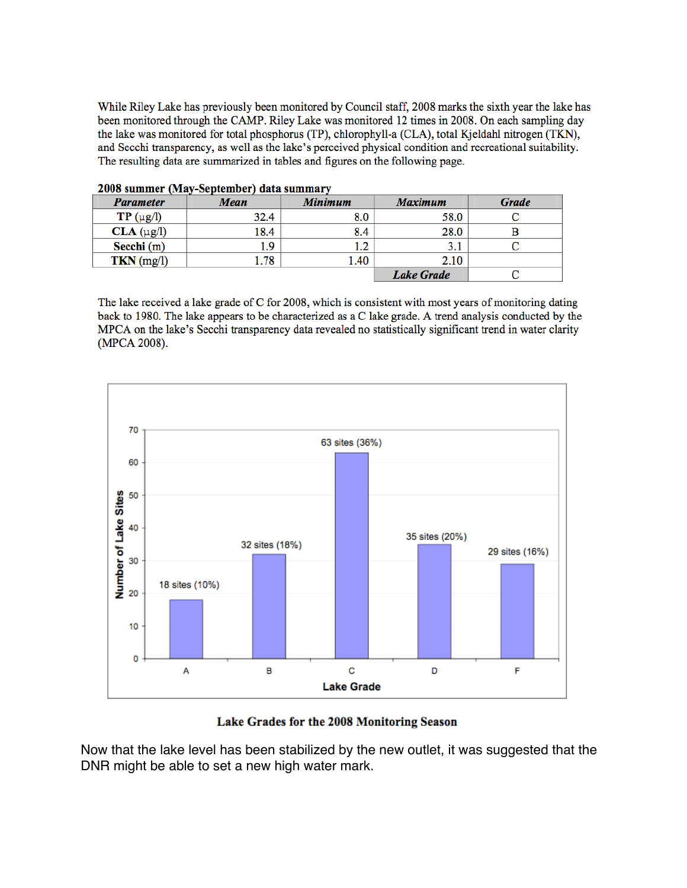While Riley Lake has previously been monitored by Council staff, 2008 marks the sixth year the lake has been monitored through the CAMP. Riley Lake was monitored 12 times in 2008. On each sampling day the lake was monitored for total phosphorus (TP), chlorophyll-a (CLA), total Kjeldahl nitrogen (TKN), and Secchi transparency, as well as the lake's perceived physical condition and recreational suitability. The resulting data are summarized in tables and figures on the following page.

| <b>Parameter</b>   | Mean | Minimum | Maximum           | <b>Grade</b> |
|--------------------|------|---------|-------------------|--------------|
| $TP(\mu g/l)$      | 32.4 | 8.0     | 58.0              |              |
| $CLA$ ( $\mu$ g/l) | 18.4 | 8.4     | 28.0              |              |
| Secchi (m)         | 1.9  | 1.2     | 3.1               |              |
| $TKN$ (mg/l)       | 1.78 | 1.40    | 2.10              |              |
|                    |      |         | <b>Lake Grade</b> |              |

2008 summer (May-September) data summary

The lake received a lake grade of C for 2008, which is consistent with most years of monitoring dating back to 1980. The lake appears to be characterized as a C lake grade. A trend analysis conducted by the MPCA on the lake's Secchi transparency data revealed no statistically significant trend in water clarity (MPCA 2008).



## Lake Grades for the 2008 Monitoring Season

Now that the lake level has been stabilized by the new outlet, it was suggested that the DNR might be able to set a new high water mark.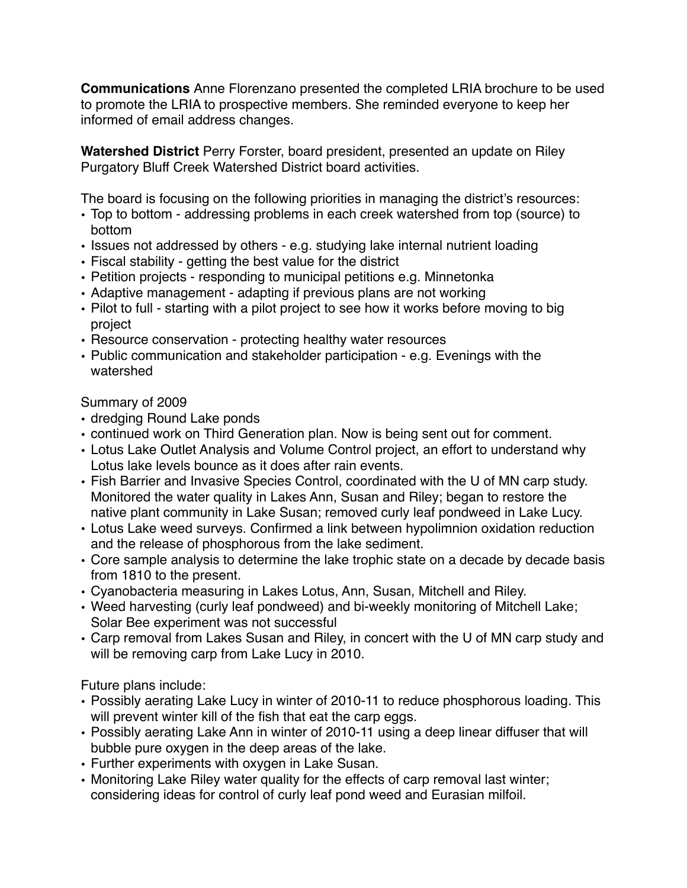**Communications** Anne Florenzano presented the completed LRIA brochure to be used to promote the LRIA to prospective members. She reminded everyone to keep her informed of email address changes.

**Watershed District** Perry Forster, board president, presented an update on Riley Purgatory Bluff Creek Watershed District board activities.

The board is focusing on the following priorities in managing the district's resources:

- Top to bottom addressing problems in each creek watershed from top (source) to bottom
- Issues not addressed by others e.g. studying lake internal nutrient loading
- Fiscal stability getting the best value for the district
- Petition projects responding to municipal petitions e.g. Minnetonka
- Adaptive management adapting if previous plans are not working
- Pilot to full starting with a pilot project to see how it works before moving to big project
- Resource conservation protecting healthy water resources
- Public communication and stakeholder participation e.g. Evenings with the watershed

Summary of 2009

- dredging Round Lake ponds
- continued work on Third Generation plan. Now is being sent out for comment.
- Lotus Lake Outlet Analysis and Volume Control project, an effort to understand why Lotus lake levels bounce as it does after rain events.
- Fish Barrier and Invasive Species Control, coordinated with the U of MN carp study. Monitored the water quality in Lakes Ann, Susan and Riley; began to restore the native plant community in Lake Susan; removed curly leaf pondweed in Lake Lucy.
- Lotus Lake weed surveys. Confirmed a link between hypolimnion oxidation reduction and the release of phosphorous from the lake sediment.
- Core sample analysis to determine the lake trophic state on a decade by decade basis from 1810 to the present.
- Cyanobacteria measuring in Lakes Lotus, Ann, Susan, Mitchell and Riley.
- Weed harvesting (curly leaf pondweed) and bi-weekly monitoring of Mitchell Lake; Solar Bee experiment was not successful
- Carp removal from Lakes Susan and Riley, in concert with the U of MN carp study and will be removing carp from Lake Lucy in 2010.

Future plans include:

- Possibly aerating Lake Lucy in winter of 2010-11 to reduce phosphorous loading. This will prevent winter kill of the fish that eat the carp eggs.
- Possibly aerating Lake Ann in winter of 2010-11 using a deep linear diffuser that will bubble pure oxygen in the deep areas of the lake.
- Further experiments with oxygen in Lake Susan.
- Monitoring Lake Riley water quality for the effects of carp removal last winter; considering ideas for control of curly leaf pond weed and Eurasian milfoil.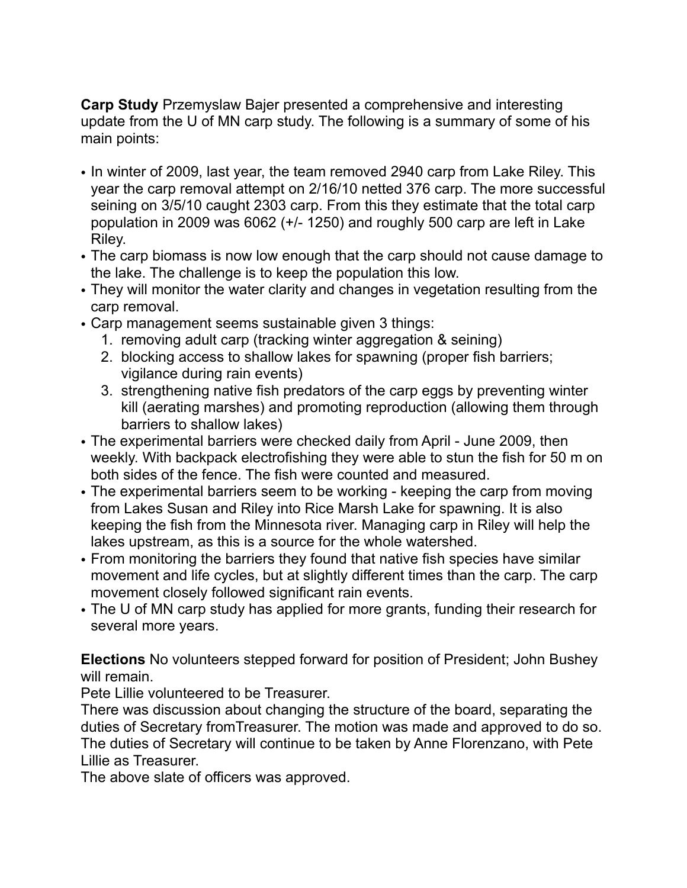**Carp Study** Przemyslaw Bajer presented a comprehensive and interesting update from the U of MN carp study. The following is a summary of some of his main points:

- In winter of 2009, last year, the team removed 2940 carp from Lake Riley. This year the carp removal attempt on 2/16/10 netted 376 carp. The more successful seining on 3/5/10 caught 2303 carp. From this they estimate that the total carp population in 2009 was 6062 (+/- 1250) and roughly 500 carp are left in Lake Riley.
- The carp biomass is now low enough that the carp should not cause damage to the lake. The challenge is to keep the population this low.
- They will monitor the water clarity and changes in vegetation resulting from the carp removal.
- Carp management seems sustainable given 3 things:
	- 1. removing adult carp (tracking winter aggregation & seining)
	- 2. blocking access to shallow lakes for spawning (proper fish barriers; vigilance during rain events)
	- 3. strengthening native fish predators of the carp eggs by preventing winter kill (aerating marshes) and promoting reproduction (allowing them through barriers to shallow lakes)
- The experimental barriers were checked daily from April June 2009, then weekly. With backpack electrofishing they were able to stun the fish for 50 m on both sides of the fence. The fish were counted and measured.
- The experimental barriers seem to be working keeping the carp from moving from Lakes Susan and Riley into Rice Marsh Lake for spawning. It is also keeping the fish from the Minnesota river. Managing carp in Riley will help the lakes upstream, as this is a source for the whole watershed.
- From monitoring the barriers they found that native fish species have similar movement and life cycles, but at slightly different times than the carp. The carp movement closely followed significant rain events.
- The U of MN carp study has applied for more grants, funding their research for several more years.

**Elections** No volunteers stepped forward for position of President; John Bushey will remain.

Pete Lillie volunteered to be Treasurer.

There was discussion about changing the structure of the board, separating the duties of Secretary fromTreasurer. The motion was made and approved to do so. The duties of Secretary will continue to be taken by Anne Florenzano, with Pete Lillie as Treasurer.

The above slate of officers was approved.